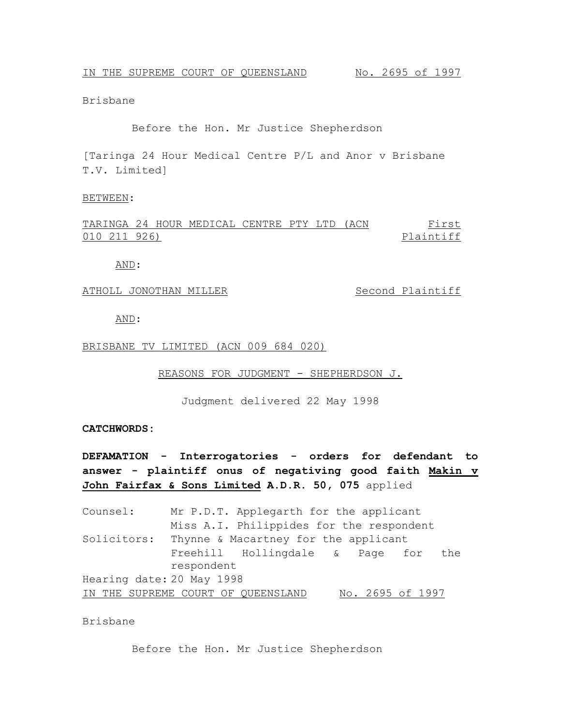Brisbane

Before the Hon. Mr Justice Shepherdson

[Taringa 24 Hour Medical Centre P/L and Anor v Brisbane T.V. Limited]

#### BETWEEN:

TARINGA 24 HOUR MEDICAL CENTRE PTY LTD (ACN 010 211 926) First Plaintiff

AND:

#### ATHOLL JONOTHAN MILLER Second Plaintiff

AND:

#### BRISBANE TV LIMITED (ACN 009 684 020)

REASONS FOR JUDGMENT - SHEPHERDSON J.

Judgment delivered 22 May 1998

### **CATCHWORDS:**

**DEFAMATION - Interrogatories - orders for defendant to answer - plaintiff onus of negativing good faith Makin v John Fairfax & Sons Limited A.D.R. 50, 075** applied

Counsel: Mr P.D.T. Applegarth for the applicant Miss A.I. Philippides for the respondent Solicitors: Thynne & Macartney for the applicant Freehill Hollingdale & Page for the respondent Hearing date: 20 May 1998 IN THE SUPREME COURT OF QUEENSLAND No. 2695 of 1997

## Brisbane

Before the Hon. Mr Justice Shepherdson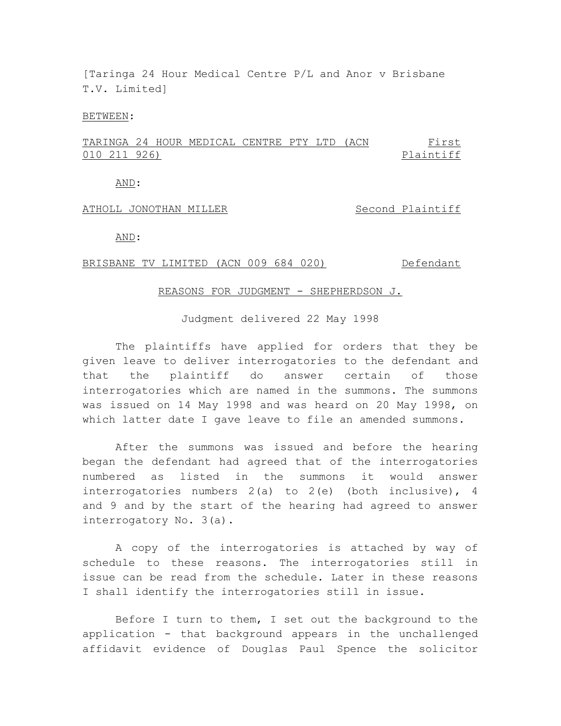[Taringa 24 Hour Medical Centre P/L and Anor v Brisbane T.V. Limited]

### BETWEEN:

TARINGA 24 HOUR MEDICAL CENTRE PTY LTD (ACN 010 211 926) First Plaintiff

AND:

## ATHOLL JONOTHAN MILLER Second Plaintiff

AND:

## BRISBANE TV LIMITED (ACN 009 684 020) Defendant

#### REASONS FOR JUDGMENT - SHEPHERDSON J.

Judgment delivered 22 May 1998

The plaintiffs have applied for orders that they be given leave to deliver interrogatories to the defendant and that the plaintiff do answer certain of those interrogatories which are named in the summons. The summons was issued on 14 May 1998 and was heard on 20 May 1998, on which latter date I gave leave to file an amended summons.

After the summons was issued and before the hearing began the defendant had agreed that of the interrogatories numbered as listed in the summons it would answer interrogatories numbers  $2(a)$  to  $2(e)$  (both inclusive), 4 and 9 and by the start of the hearing had agreed to answer interrogatory No. 3(a).

A copy of the interrogatories is attached by way of schedule to these reasons. The interrogatories still in issue can be read from the schedule. Later in these reasons I shall identify the interrogatories still in issue.

Before I turn to them, I set out the background to the application - that background appears in the unchallenged affidavit evidence of Douglas Paul Spence the solicitor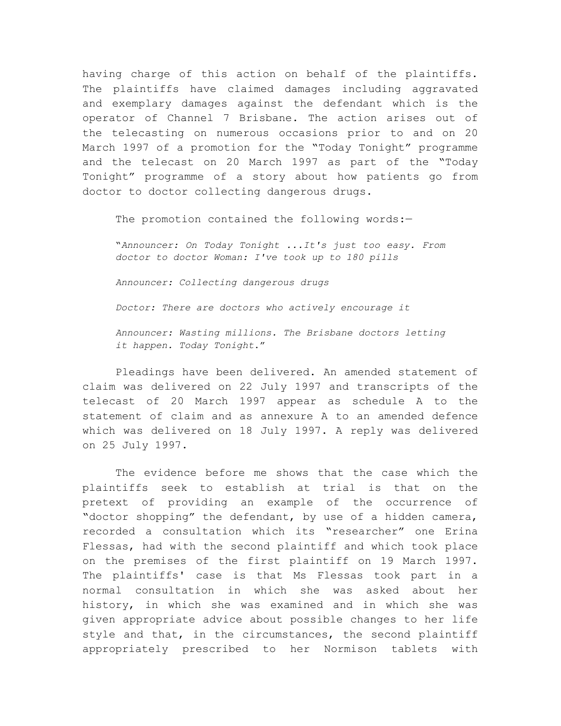having charge of this action on behalf of the plaintiffs. The plaintiffs have claimed damages including aggravated and exemplary damages against the defendant which is the operator of Channel 7 Brisbane. The action arises out of the telecasting on numerous occasions prior to and on 20 March 1997 of a promotion for the "Today Tonight" programme and the telecast on 20 March 1997 as part of the "Today Tonight" programme of a story about how patients go from doctor to doctor collecting dangerous drugs.

The promotion contained the following words:-

"*Announcer: On Today Tonight ...It's just too easy. From doctor to doctor Woman: I've took up to 180 pills*

*Announcer: Collecting dangerous drugs*

*Doctor: There are doctors who actively encourage it*

*Announcer: Wasting millions. The Brisbane doctors letting it happen. Today Tonight*."

Pleadings have been delivered. An amended statement of claim was delivered on 22 July 1997 and transcripts of the telecast of 20 March 1997 appear as schedule A to the statement of claim and as annexure A to an amended defence which was delivered on 18 July 1997. A reply was delivered on 25 July 1997.

The evidence before me shows that the case which the plaintiffs seek to establish at trial is that on the pretext of providing an example of the occurrence of "doctor shopping" the defendant, by use of a hidden camera, recorded a consultation which its "researcher" one Erina Flessas, had with the second plaintiff and which took place on the premises of the first plaintiff on 19 March 1997. The plaintiffs' case is that Ms Flessas took part in a normal consultation in which she was asked about her history, in which she was examined and in which she was given appropriate advice about possible changes to her life style and that, in the circumstances, the second plaintiff appropriately prescribed to her Normison tablets with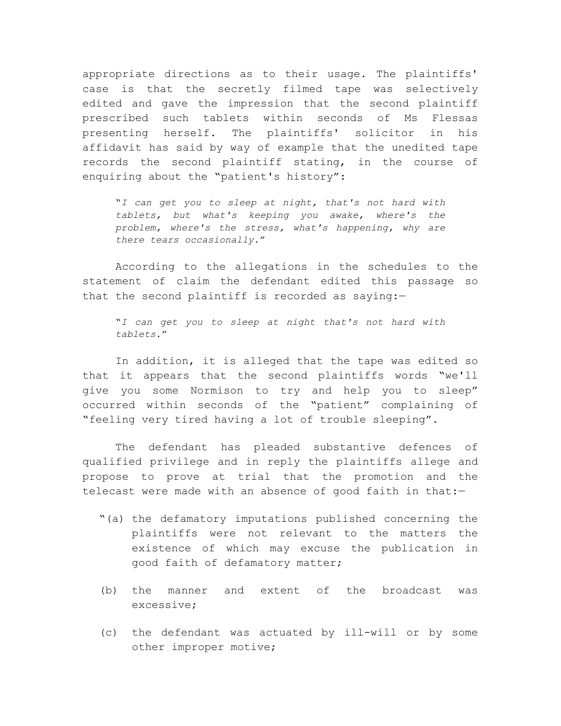appropriate directions as to their usage. The plaintiffs' case is that the secretly filmed tape was selectively edited and gave the impression that the second plaintiff prescribed such tablets within seconds of Ms Flessas presenting herself. The plaintiffs' solicitor in his affidavit has said by way of example that the unedited tape records the second plaintiff stating, in the course of enquiring about the "patient's history":

"*I can get you to sleep at night, that's not hard with tablets, but what's keeping you awake, where's the problem, where's the stress, what's happening, why are there tears occasionally*."

According to the allegations in the schedules to the statement of claim the defendant edited this passage so that the second plaintiff is recorded as saying:—

"*I can get you to sleep at night that's not hard with tablets*."

In addition, it is alleged that the tape was edited so that it appears that the second plaintiffs words "we'll give you some Normison to try and help you to sleep" occurred within seconds of the "patient" complaining of "feeling very tired having a lot of trouble sleeping".

The defendant has pleaded substantive defences of qualified privilege and in reply the plaintiffs allege and propose to prove at trial that the promotion and the telecast were made with an absence of good faith in that:—

- "(a) the defamatory imputations published concerning the plaintiffs were not relevant to the matters the existence of which may excuse the publication in good faith of defamatory matter;
- (b) the manner and extent of the broadcast was excessive;
- (c) the defendant was actuated by ill-will or by some other improper motive;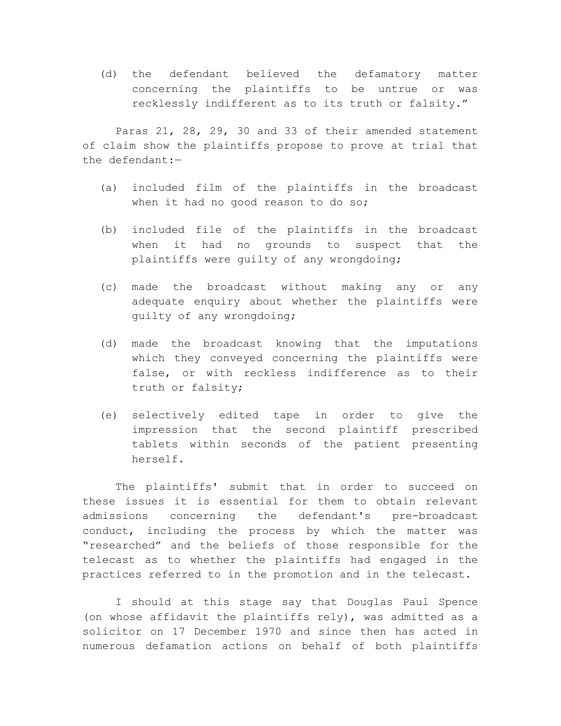(d) the defendant believed the defamatory matter concerning the plaintiffs to be untrue or was recklessly indifferent as to its truth or falsity."

Paras 21, 28, 29, 30 and 33 of their amended statement of claim show the plaintiffs propose to prove at trial that the defendant:—

- (a) included film of the plaintiffs in the broadcast when it had no good reason to do so;
- (b) included file of the plaintiffs in the broadcast when it had no grounds to suspect that the plaintiffs were guilty of any wrongdoing;
- (c) made the broadcast without making any or any adequate enquiry about whether the plaintiffs were guilty of any wrongdoing;
- (d) made the broadcast knowing that the imputations which they conveyed concerning the plaintiffs were false, or with reckless indifference as to their truth or falsity;
- (e) selectively edited tape in order to give the impression that the second plaintiff prescribed tablets within seconds of the patient presenting herself.

The plaintiffs' submit that in order to succeed on these issues it is essential for them to obtain relevant admissions concerning the defendant's pre-broadcast conduct, including the process by which the matter was "researched" and the beliefs of those responsible for the telecast as to whether the plaintiffs had engaged in the practices referred to in the promotion and in the telecast.

I should at this stage say that Douglas Paul Spence (on whose affidavit the plaintiffs rely), was admitted as a solicitor on 17 December 1970 and since then has acted in numerous defamation actions on behalf of both plaintiffs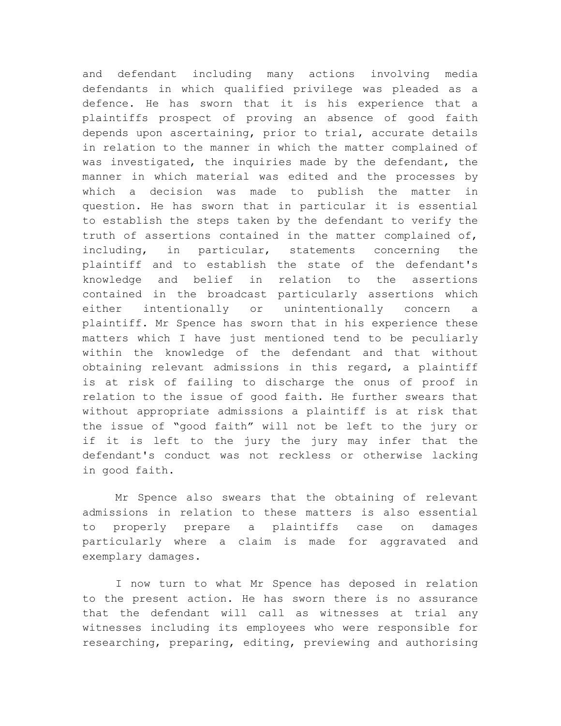and defendant including many actions involving media defendants in which qualified privilege was pleaded as a defence. He has sworn that it is his experience that a plaintiffs prospect of proving an absence of good faith depends upon ascertaining, prior to trial, accurate details in relation to the manner in which the matter complained of was investigated, the inquiries made by the defendant, the manner in which material was edited and the processes by which a decision was made to publish the matter in question. He has sworn that in particular it is essential to establish the steps taken by the defendant to verify the truth of assertions contained in the matter complained of, including, in particular, statements concerning the plaintiff and to establish the state of the defendant's knowledge and belief in relation to the assertions contained in the broadcast particularly assertions which either intentionally or unintentionally concern a plaintiff. Mr Spence has sworn that in his experience these matters which I have just mentioned tend to be peculiarly within the knowledge of the defendant and that without obtaining relevant admissions in this regard, a plaintiff is at risk of failing to discharge the onus of proof in relation to the issue of good faith. He further swears that without appropriate admissions a plaintiff is at risk that the issue of "good faith" will not be left to the jury or if it is left to the jury the jury may infer that the defendant's conduct was not reckless or otherwise lacking in good faith.

Mr Spence also swears that the obtaining of relevant admissions in relation to these matters is also essential to properly prepare a plaintiffs case on damages particularly where a claim is made for aggravated and exemplary damages.

I now turn to what Mr Spence has deposed in relation to the present action. He has sworn there is no assurance that the defendant will call as witnesses at trial any witnesses including its employees who were responsible for researching, preparing, editing, previewing and authorising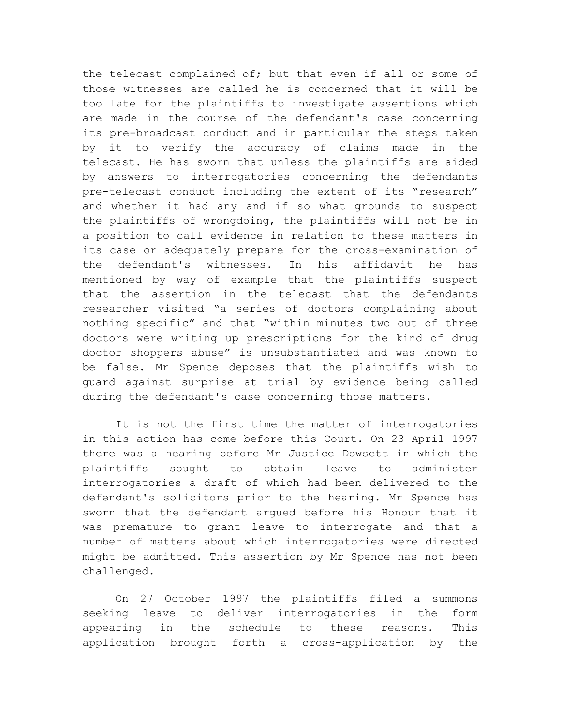the telecast complained of; but that even if all or some of those witnesses are called he is concerned that it will be too late for the plaintiffs to investigate assertions which are made in the course of the defendant's case concerning its pre-broadcast conduct and in particular the steps taken by it to verify the accuracy of claims made in the telecast. He has sworn that unless the plaintiffs are aided by answers to interrogatories concerning the defendants pre-telecast conduct including the extent of its "research" and whether it had any and if so what grounds to suspect the plaintiffs of wrongdoing, the plaintiffs will not be in a position to call evidence in relation to these matters in its case or adequately prepare for the cross-examination of the defendant's witnesses. In his affidavit he has mentioned by way of example that the plaintiffs suspect that the assertion in the telecast that the defendants researcher visited "a series of doctors complaining about nothing specific" and that "within minutes two out of three doctors were writing up prescriptions for the kind of drug doctor shoppers abuse" is unsubstantiated and was known to be false. Mr Spence deposes that the plaintiffs wish to guard against surprise at trial by evidence being called during the defendant's case concerning those matters.

It is not the first time the matter of interrogatories in this action has come before this Court. On 23 April 1997 there was a hearing before Mr Justice Dowsett in which the plaintiffs sought to obtain leave to administer interrogatories a draft of which had been delivered to the defendant's solicitors prior to the hearing. Mr Spence has sworn that the defendant argued before his Honour that it was premature to grant leave to interrogate and that a number of matters about which interrogatories were directed might be admitted. This assertion by Mr Spence has not been challenged.

On 27 October 1997 the plaintiffs filed a summons seeking leave to deliver interrogatories in the form appearing in the schedule to these reasons. This application brought forth a cross-application by the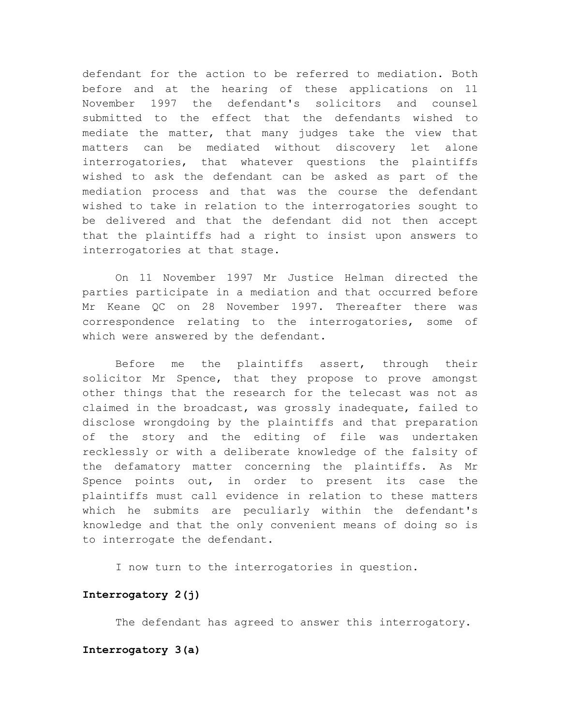defendant for the action to be referred to mediation. Both before and at the hearing of these applications on 11 November 1997 the defendant's solicitors and counsel submitted to the effect that the defendants wished to mediate the matter, that many judges take the view that matters can be mediated without discovery let alone interrogatories, that whatever questions the plaintiffs wished to ask the defendant can be asked as part of the mediation process and that was the course the defendant wished to take in relation to the interrogatories sought to be delivered and that the defendant did not then accept that the plaintiffs had a right to insist upon answers to interrogatories at that stage.

On 11 November 1997 Mr Justice Helman directed the parties participate in a mediation and that occurred before Mr Keane QC on 28 November 1997. Thereafter there was correspondence relating to the interrogatories, some of which were answered by the defendant.

Before me the plaintiffs assert, through their solicitor Mr Spence, that they propose to prove amongst other things that the research for the telecast was not as claimed in the broadcast, was grossly inadequate, failed to disclose wrongdoing by the plaintiffs and that preparation of the story and the editing of file was undertaken recklessly or with a deliberate knowledge of the falsity of the defamatory matter concerning the plaintiffs. As Mr Spence points out, in order to present its case the plaintiffs must call evidence in relation to these matters which he submits are peculiarly within the defendant's knowledge and that the only convenient means of doing so is to interrogate the defendant.

I now turn to the interrogatories in question.

## **Interrogatory 2(j)**

The defendant has agreed to answer this interrogatory.

## **Interrogatory 3(a)**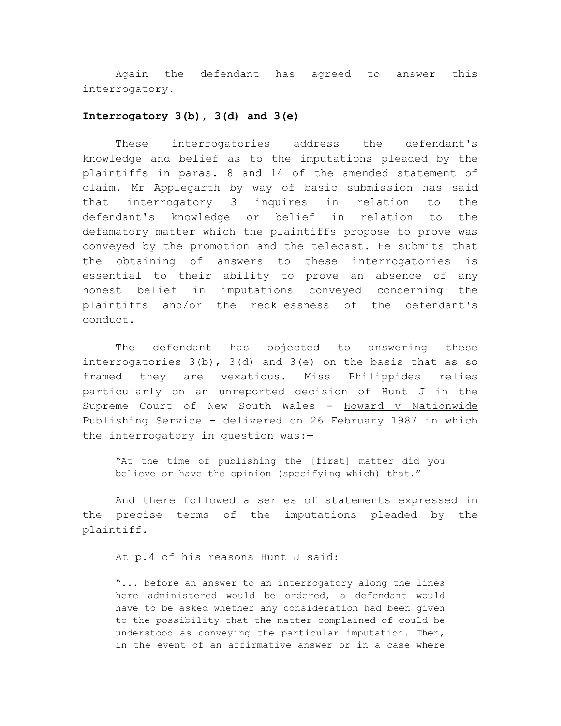Again the defendant has agreed to answer this interrogatory.

## **Interrogatory 3(b), 3(d) and 3(e)**

These interrogatories address the defendant's knowledge and belief as to the imputations pleaded by the plaintiffs in paras. 8 and 14 of the amended statement of claim. Mr Applegarth by way of basic submission has said that interrogatory 3 inquires in relation to the defendant's knowledge or belief in relation to the defamatory matter which the plaintiffs propose to prove was conveyed by the promotion and the telecast. He submits that the obtaining of answers to these interrogatories is essential to their ability to prove an absence of any honest belief in imputations conveyed concerning the plaintiffs and/or the recklessness of the defendant's conduct.

The defendant has objected to answering these interrogatories  $3(b)$ ,  $3(d)$  and  $3(e)$  on the basis that as so framed they are vexatious. Miss Philippides relies particularly on an unreported decision of Hunt J in the Supreme Court of New South Wales - Howard v Nationwide Publishing Service - delivered on 26 February 1987 in which the interrogatory in question was:—

"At the time of publishing the [first] matter did you believe or have the opinion (specifying which) that."

And there followed a series of statements expressed in the precise terms of the imputations pleaded by the plaintiff.

At p.4 of his reasons Hunt J said:—

"... before an answer to an interrogatory along the lines here administered would be ordered, a defendant would have to be asked whether any consideration had been given to the possibility that the matter complained of could be understood as conveying the particular imputation. Then, in the event of an affirmative answer or in a case where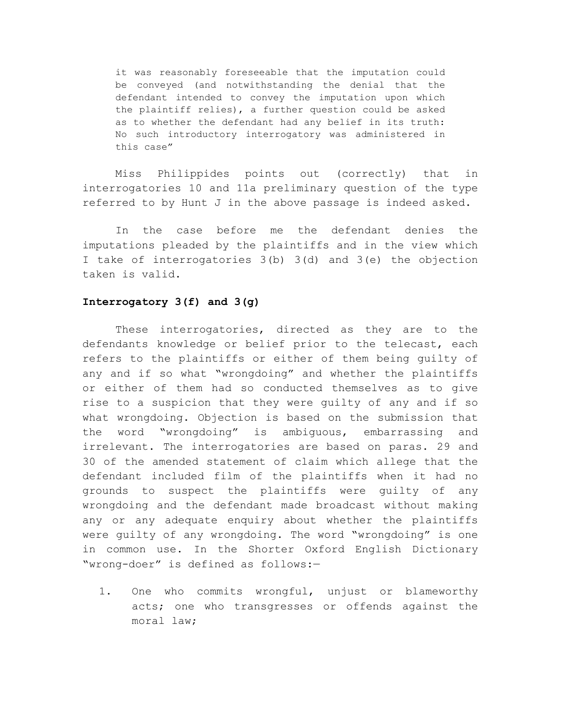it was reasonably foreseeable that the imputation could be conveyed (and notwithstanding the denial that the defendant intended to convey the imputation upon which the plaintiff relies), a further question could be asked as to whether the defendant had any belief in its truth: No such introductory interrogatory was administered in this case"

Miss Philippides points out (correctly) that in interrogatories 10 and 11a preliminary question of the type referred to by Hunt J in the above passage is indeed asked.

In the case before me the defendant denies the imputations pleaded by the plaintiffs and in the view which I take of interrogatories 3(b) 3(d) and 3(e) the objection taken is valid.

## **Interrogatory 3(f) and 3(g)**

These interrogatories, directed as they are to the defendants knowledge or belief prior to the telecast, each refers to the plaintiffs or either of them being guilty of any and if so what "wrongdoing" and whether the plaintiffs or either of them had so conducted themselves as to give rise to a suspicion that they were guilty of any and if so what wrongdoing. Objection is based on the submission that the word "wrongdoing" is ambiguous, embarrassing and irrelevant. The interrogatories are based on paras. 29 and 30 of the amended statement of claim which allege that the defendant included film of the plaintiffs when it had no grounds to suspect the plaintiffs were guilty of any wrongdoing and the defendant made broadcast without making any or any adequate enquiry about whether the plaintiffs were guilty of any wrongdoing. The word "wrongdoing" is one in common use. In the Shorter Oxford English Dictionary "wrong-doer" is defined as follows:—

1. One who commits wrongful, unjust or blameworthy acts; one who transgresses or offends against the moral law;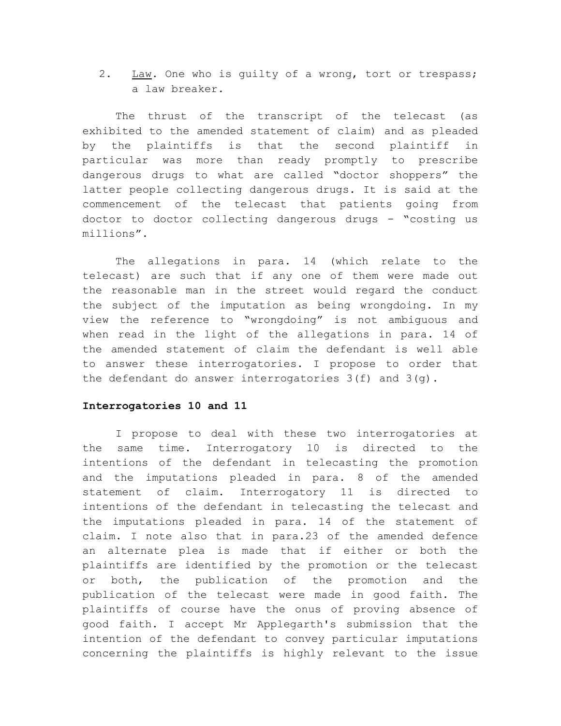2. Law. One who is guilty of a wrong, tort or trespass; a law breaker.

The thrust of the transcript of the telecast (as exhibited to the amended statement of claim) and as pleaded by the plaintiffs is that the second plaintiff in particular was more than ready promptly to prescribe dangerous drugs to what are called "doctor shoppers" the latter people collecting dangerous drugs. It is said at the commencement of the telecast that patients going from doctor to doctor collecting dangerous drugs - "costing us millions".

The allegations in para. 14 (which relate to the telecast) are such that if any one of them were made out the reasonable man in the street would regard the conduct the subject of the imputation as being wrongdoing. In my view the reference to "wrongdoing" is not ambiguous and when read in the light of the allegations in para. 14 of the amended statement of claim the defendant is well able to answer these interrogatories. I propose to order that the defendant do answer interrogatories 3(f) and 3(g).

## **Interrogatories 10 and 11**

I propose to deal with these two interrogatories at the same time. Interrogatory 10 is directed to the intentions of the defendant in telecasting the promotion and the imputations pleaded in para. 8 of the amended statement of claim. Interrogatory 11 is directed to intentions of the defendant in telecasting the telecast and the imputations pleaded in para. 14 of the statement of claim. I note also that in para.23 of the amended defence an alternate plea is made that if either or both the plaintiffs are identified by the promotion or the telecast or both, the publication of the promotion and the publication of the telecast were made in good faith. The plaintiffs of course have the onus of proving absence of good faith. I accept Mr Applegarth's submission that the intention of the defendant to convey particular imputations concerning the plaintiffs is highly relevant to the issue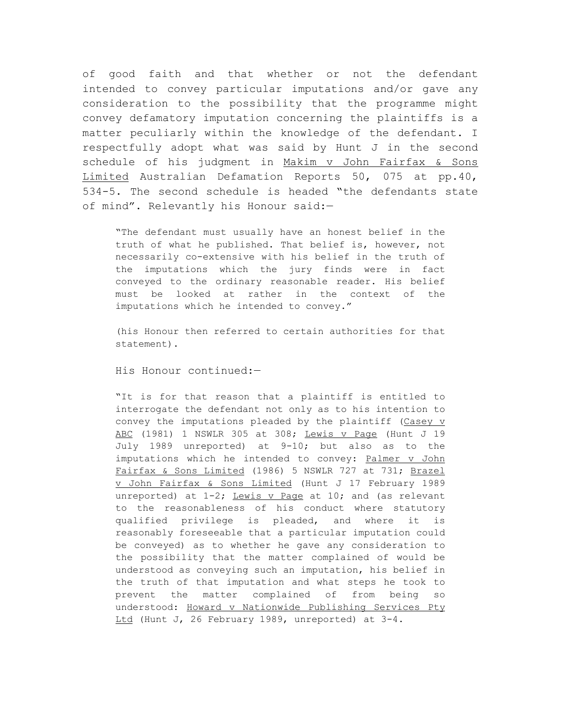of good faith and that whether or not the defendant intended to convey particular imputations and/or gave any consideration to the possibility that the programme might convey defamatory imputation concerning the plaintiffs is a matter peculiarly within the knowledge of the defendant. I respectfully adopt what was said by Hunt J in the second schedule of his judgment in Makim v John Fairfax & Sons Limited Australian Defamation Reports 50, 075 at pp.40, 534-5. The second schedule is headed "the defendants state of mind". Relevantly his Honour said:—

"The defendant must usually have an honest belief in the truth of what he published. That belief is, however, not necessarily co-extensive with his belief in the truth of the imputations which the jury finds were in fact conveyed to the ordinary reasonable reader. His belief must be looked at rather in the context of the imputations which he intended to convey."

(his Honour then referred to certain authorities for that statement).

His Honour continued:—

"It is for that reason that a plaintiff is entitled to interrogate the defendant not only as to his intention to convey the imputations pleaded by the plaintiff  $(Casey y)$ ABC (1981) 1 NSWLR 305 at 308; Lewis v Page (Hunt J 19 July 1989 unreported) at 9-10; but also as to the imputations which he intended to convey: Palmer v John Fairfax & Sons Limited (1986) 5 NSWLR 727 at 731; Brazel v John Fairfax & Sons Limited (Hunt J 17 February 1989 unreported) at  $1-2$ ; Lewis v Page at  $10$ ; and (as relevant to the reasonableness of his conduct where statutory qualified privilege is pleaded, and where it is reasonably foreseeable that a particular imputation could be conveyed) as to whether he gave any consideration to the possibility that the matter complained of would be understood as conveying such an imputation, his belief in the truth of that imputation and what steps he took to prevent the matter complained of from being so understood: Howard v Nationwide Publishing Services Pty Ltd (Hunt J, 26 February 1989, unreported) at 3-4.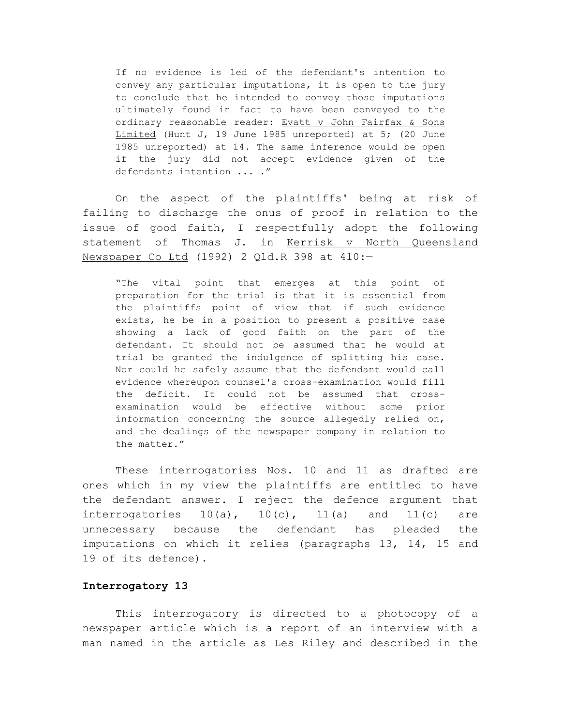If no evidence is led of the defendant's intention to convey any particular imputations, it is open to the jury to conclude that he intended to convey those imputations ultimately found in fact to have been conveyed to the ordinary reasonable reader: Evatt v John Fairfax & Sons Limited (Hunt J, 19 June 1985 unreported) at 5; (20 June 1985 unreported) at 14. The same inference would be open if the jury did not accept evidence given of the defendants intention ... ."

On the aspect of the plaintiffs' being at risk of failing to discharge the onus of proof in relation to the issue of good faith, I respectfully adopt the following statement of Thomas J. in Kerrisk v North Queensland Newspaper Co Ltd (1992) 2 Qld.R 398 at 410:-

"The vital point that emerges at this point of preparation for the trial is that it is essential from the plaintiffs point of view that if such evidence exists, he be in a position to present a positive case showing a lack of good faith on the part of the defendant. It should not be assumed that he would at trial be granted the indulgence of splitting his case. Nor could he safely assume that the defendant would call evidence whereupon counsel's cross-examination would fill the deficit. It could not be assumed that crossexamination would be effective without some prior information concerning the source allegedly relied on, and the dealings of the newspaper company in relation to the matter."

These interrogatories Nos. 10 and 11 as drafted are ones which in my view the plaintiffs are entitled to have the defendant answer. I reject the defence argument that interrogatories  $10(a)$ ,  $10(c)$ ,  $11(a)$  and  $11(c)$  are unnecessary because the defendant has pleaded the imputations on which it relies (paragraphs 13, 14, 15 and 19 of its defence).

## **Interrogatory 13**

This interrogatory is directed to a photocopy of a newspaper article which is a report of an interview with a man named in the article as Les Riley and described in the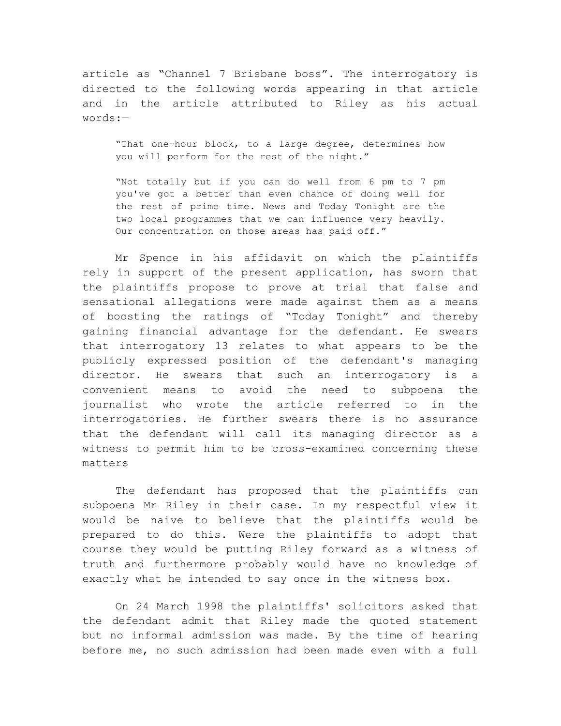article as "Channel 7 Brisbane boss". The interrogatory is directed to the following words appearing in that article and in the article attributed to Riley as his actual words:—

"That one-hour block, to a large degree, determines how you will perform for the rest of the night."

"Not totally but if you can do well from 6 pm to 7 pm you've got a better than even chance of doing well for the rest of prime time. News and Today Tonight are the two local programmes that we can influence very heavily. Our concentration on those areas has paid off."

Mr Spence in his affidavit on which the plaintiffs rely in support of the present application, has sworn that the plaintiffs propose to prove at trial that false and sensational allegations were made against them as a means of boosting the ratings of "Today Tonight" and thereby gaining financial advantage for the defendant. He swears that interrogatory 13 relates to what appears to be the publicly expressed position of the defendant's managing director. He swears that such an interrogatory is a convenient means to avoid the need to subpoena the journalist who wrote the article referred to in the interrogatories. He further swears there is no assurance that the defendant will call its managing director as a witness to permit him to be cross-examined concerning these matters

The defendant has proposed that the plaintiffs can subpoena Mr Riley in their case. In my respectful view it would be naive to believe that the plaintiffs would be prepared to do this. Were the plaintiffs to adopt that course they would be putting Riley forward as a witness of truth and furthermore probably would have no knowledge of exactly what he intended to say once in the witness box.

On 24 March 1998 the plaintiffs' solicitors asked that the defendant admit that Riley made the quoted statement but no informal admission was made. By the time of hearing before me, no such admission had been made even with a full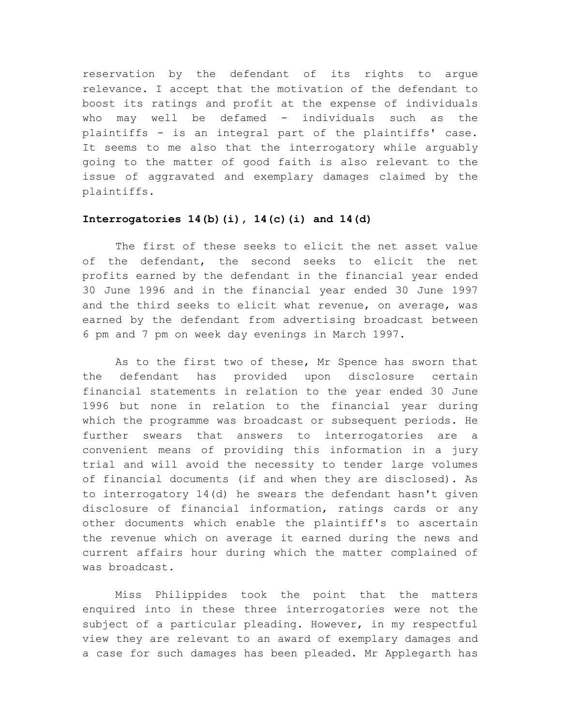reservation by the defendant of its rights to argue relevance. I accept that the motivation of the defendant to boost its ratings and profit at the expense of individuals who may well be defamed - individuals such as the plaintiffs - is an integral part of the plaintiffs' case. It seems to me also that the interrogatory while arguably going to the matter of good faith is also relevant to the issue of aggravated and exemplary damages claimed by the plaintiffs.

## **Interrogatories 14(b)(i), 14(c)(i) and 14(d)**

The first of these seeks to elicit the net asset value of the defendant, the second seeks to elicit the net profits earned by the defendant in the financial year ended 30 June 1996 and in the financial year ended 30 June 1997 and the third seeks to elicit what revenue, on average, was earned by the defendant from advertising broadcast between 6 pm and 7 pm on week day evenings in March 1997.

As to the first two of these, Mr Spence has sworn that the defendant has provided upon disclosure certain financial statements in relation to the year ended 30 June 1996 but none in relation to the financial year during which the programme was broadcast or subsequent periods. He further swears that answers to interrogatories are a convenient means of providing this information in a jury trial and will avoid the necessity to tender large volumes of financial documents (if and when they are disclosed). As to interrogatory 14(d) he swears the defendant hasn't given disclosure of financial information, ratings cards or any other documents which enable the plaintiff's to ascertain the revenue which on average it earned during the news and current affairs hour during which the matter complained of was broadcast.

Miss Philippides took the point that the matters enquired into in these three interrogatories were not the subject of a particular pleading. However, in my respectful view they are relevant to an award of exemplary damages and a case for such damages has been pleaded. Mr Applegarth has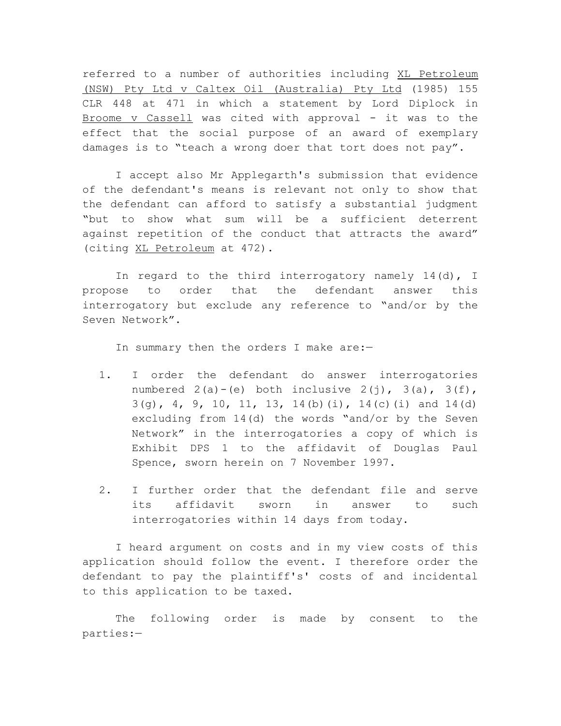referred to a number of authorities including XL Petroleum (NSW) Pty Ltd v Caltex Oil (Australia) Pty Ltd (1985) 155 CLR 448 at 471 in which a statement by Lord Diplock in Broome v Cassell was cited with approval - it was to the effect that the social purpose of an award of exemplary damages is to "teach a wrong doer that tort does not pay".

I accept also Mr Applegarth's submission that evidence of the defendant's means is relevant not only to show that the defendant can afford to satisfy a substantial judgment "but to show what sum will be a sufficient deterrent against repetition of the conduct that attracts the award" (citing XL Petroleum at 472).

In regard to the third interrogatory namely  $14(d)$ , I propose to order that the defendant answer this interrogatory but exclude any reference to "and/or by the Seven Network".

In summary then the orders I make are:-

- 1. I order the defendant do answer interrogatories numbered  $2(a)-(e)$  both inclusive  $2(j)$ ,  $3(a)$ ,  $3(f)$ ,  $3(g)$ , 4, 9, 10, 11, 13, 14(b)(i), 14(c)(i) and 14(d) excluding from 14(d) the words "and/or by the Seven Network" in the interrogatories a copy of which is Exhibit DPS 1 to the affidavit of Douglas Paul Spence, sworn herein on 7 November 1997.
- 2. I further order that the defendant file and serve its affidavit sworn in answer to such interrogatories within 14 days from today.

I heard argument on costs and in my view costs of this application should follow the event. I therefore order the defendant to pay the plaintiff's' costs of and incidental to this application to be taxed.

The following order is made by consent to the parties:—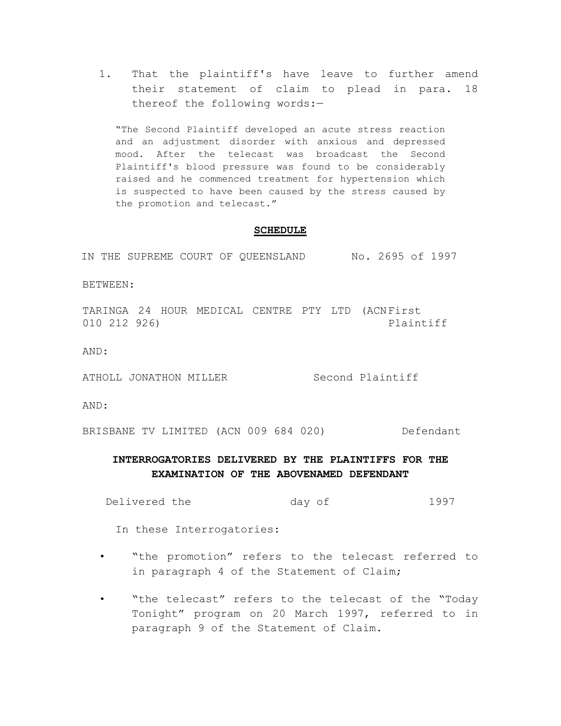1. That the plaintiff's have leave to further amend their statement of claim to plead in para. 18 thereof the following words:—

"The Second Plaintiff developed an acute stress reaction and an adjustment disorder with anxious and depressed mood. After the telecast was broadcast the Second Plaintiff's blood pressure was found to be considerably raised and he commenced treatment for hypertension which is suspected to have been caused by the stress caused by the promotion and telecast."

#### **SCHEDULE**

IN THE SUPREME COURT OF QUEENSLAND No. 2695 of 1997

BETWEEN:

TARINGA 24 HOUR MEDICAL CENTRE PTY LTD (ACNFirst 010 212 926) Plaintiff

AND:

ATHOLL JONATHON MILLER Second Plaintiff

AND:

BRISBANE TV LIMITED (ACN 009 684 020) Defendant

# **INTERROGATORIES DELIVERED BY THE PLAINTIFFS FOR THE EXAMINATION OF THE ABOVENAMED DEFENDANT**

Delivered the day of 1997

In these Interrogatories:

- "the promotion" refers to the telecast referred to in paragraph 4 of the Statement of Claim;
- "the telecast" refers to the telecast of the "Today Tonight" program on 20 March 1997, referred to in paragraph 9 of the Statement of Claim.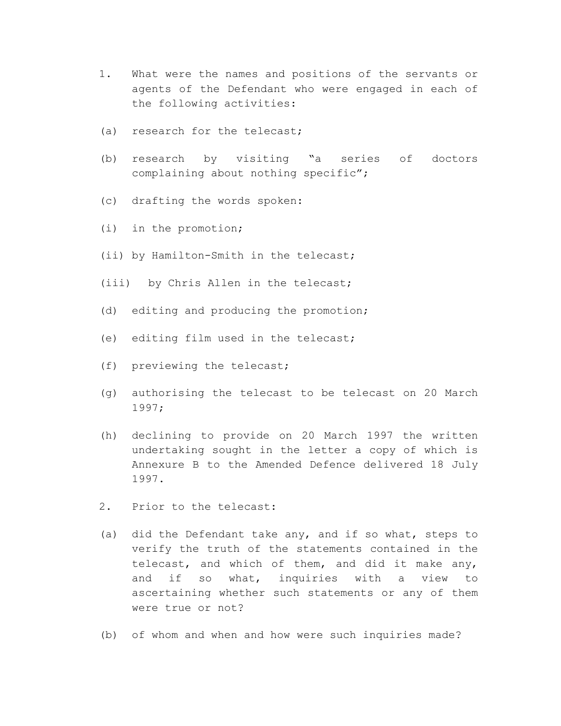- 1. What were the names and positions of the servants or agents of the Defendant who were engaged in each of the following activities:
- (a) research for the telecast;
- (b) research by visiting "a series of doctors complaining about nothing specific";
- (c) drafting the words spoken:
- (i) in the promotion;
- (ii) by Hamilton-Smith in the telecast;
- (iii) by Chris Allen in the telecast;
- (d) editing and producing the promotion;
- (e) editing film used in the telecast;
- (f) previewing the telecast;
- (g) authorising the telecast to be telecast on 20 March 1997;
- (h) declining to provide on 20 March 1997 the written undertaking sought in the letter a copy of which is Annexure B to the Amended Defence delivered 18 July 1997.
- 2. Prior to the telecast:
- (a) did the Defendant take any, and if so what, steps to verify the truth of the statements contained in the telecast, and which of them, and did it make any, and if so what, inquiries with a view to ascertaining whether such statements or any of them were true or not?
- (b) of whom and when and how were such inquiries made?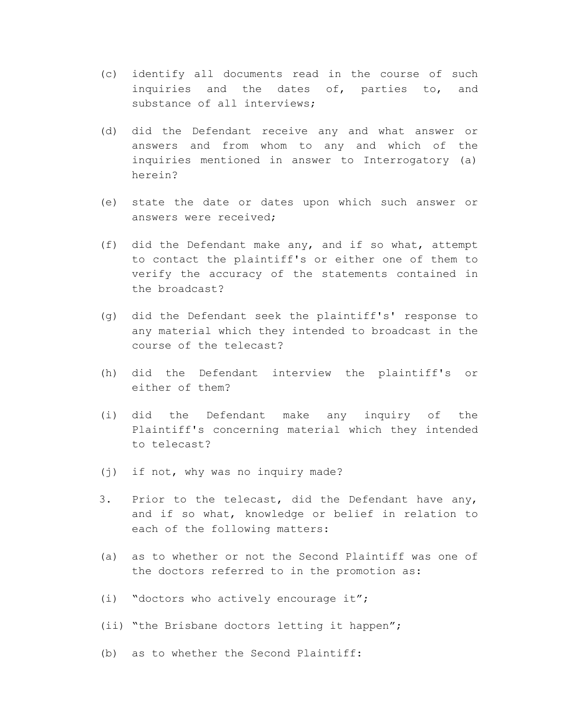- (c) identify all documents read in the course of such inquiries and the dates of, parties to, and substance of all interviews;
- (d) did the Defendant receive any and what answer or answers and from whom to any and which of the inquiries mentioned in answer to Interrogatory (a) herein?
- (e) state the date or dates upon which such answer or answers were received;
- (f) did the Defendant make any, and if so what, attempt to contact the plaintiff's or either one of them to verify the accuracy of the statements contained in the broadcast?
- (g) did the Defendant seek the plaintiff's' response to any material which they intended to broadcast in the course of the telecast?
- (h) did the Defendant interview the plaintiff's or either of them?
- (i) did the Defendant make any inquiry of the Plaintiff's concerning material which they intended to telecast?
- (j) if not, why was no inquiry made?
- 3. Prior to the telecast, did the Defendant have any, and if so what, knowledge or belief in relation to each of the following matters:
- (a) as to whether or not the Second Plaintiff was one of the doctors referred to in the promotion as:
- (i) "doctors who actively encourage it";
- (ii) "the Brisbane doctors letting it happen";
- (b) as to whether the Second Plaintiff: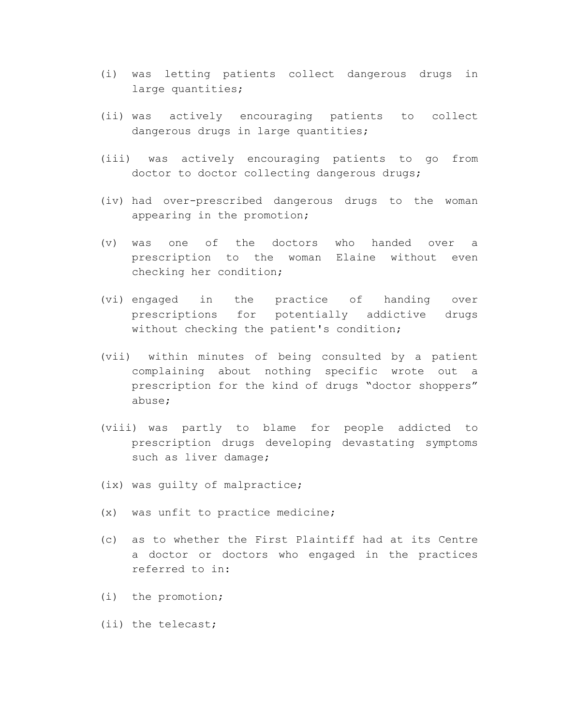- (i) was letting patients collect dangerous drugs in large quantities;
- (ii) was actively encouraging patients to collect dangerous drugs in large quantities;
- (iii) was actively encouraging patients to go from doctor to doctor collecting dangerous drugs;
- (iv) had over-prescribed dangerous drugs to the woman appearing in the promotion;
- (v) was one of the doctors who handed over a prescription to the woman Elaine without even checking her condition;
- (vi) engaged in the practice of handing over prescriptions for potentially addictive drugs without checking the patient's condition;
- (vii) within minutes of being consulted by a patient complaining about nothing specific wrote out a prescription for the kind of drugs "doctor shoppers" abuse;
- (viii) was partly to blame for people addicted to prescription drugs developing devastating symptoms such as liver damage;
- (ix) was guilty of malpractice;
- (x) was unfit to practice medicine;
- (c) as to whether the First Plaintiff had at its Centre a doctor or doctors who engaged in the practices referred to in:
- (i) the promotion;
- (ii) the telecast;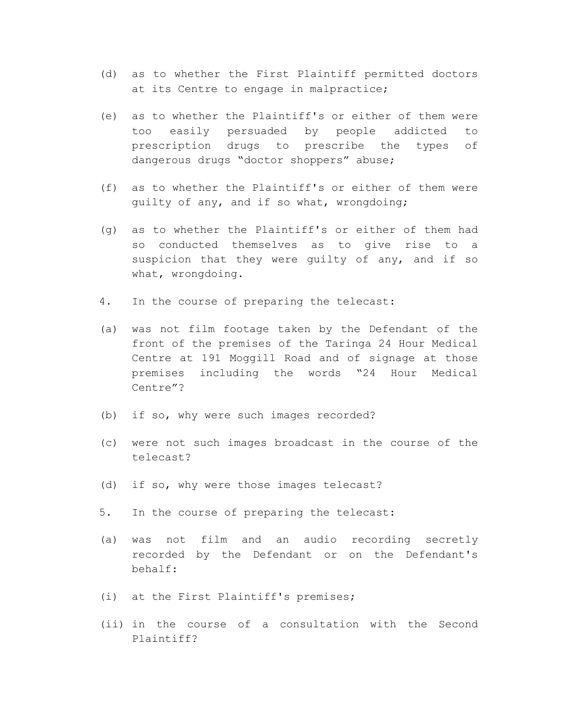- (d) as to whether the First Plaintiff permitted doctors at its Centre to engage in malpractice;
- (e) as to whether the Plaintiff's or either of them were too easily persuaded by people addicted to prescription drugs to prescribe the types of dangerous drugs "doctor shoppers" abuse;
- (f) as to whether the Plaintiff's or either of them were guilty of any, and if so what, wrongdoing;
- (g) as to whether the Plaintiff's or either of them had so conducted themselves as to give rise to a suspicion that they were quilty of any, and if so what, wrongdoing.
- 4. In the course of preparing the telecast:
- (a) was not film footage taken by the Defendant of the front of the premises of the Taringa 24 Hour Medical Centre at 191 Moggill Road and of signage at those premises including the words "24 Hour Medical Centre"?
- (b) if so, why were such images recorded?
- (c) were not such images broadcast in the course of the telecast?
- (d) if so, why were those images telecast?
- 5. In the course of preparing the telecast:
- (a) was not film and an audio recording secretly recorded by the Defendant or on the Defendant's behalf:
- (i) at the First Plaintiff's premises;
- (ii) in the course of a consultation with the Second Plaintiff?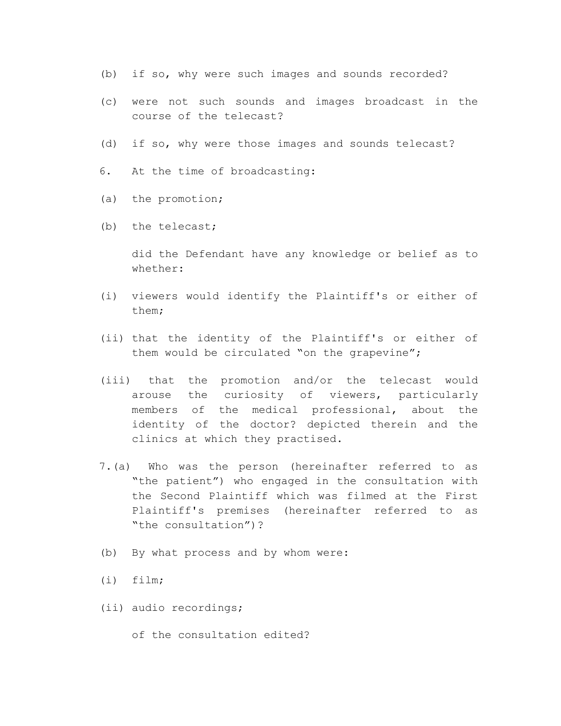- (b) if so, why were such images and sounds recorded?
- (c) were not such sounds and images broadcast in the course of the telecast?
- (d) if so, why were those images and sounds telecast?
- 6. At the time of broadcasting:
- (a) the promotion;
- (b) the telecast;

did the Defendant have any knowledge or belief as to whether:

- (i) viewers would identify the Plaintiff's or either of them;
- (ii) that the identity of the Plaintiff's or either of them would be circulated "on the grapevine";
- (iii) that the promotion and/or the telecast would arouse the curiosity of viewers, particularly members of the medical professional, about the identity of the doctor? depicted therein and the clinics at which they practised.
- 7.(a) Who was the person (hereinafter referred to as "the patient") who engaged in the consultation with the Second Plaintiff which was filmed at the First Plaintiff's premises (hereinafter referred to as "the consultation")?
- (b) By what process and by whom were:
- (i) film;
- (ii) audio recordings;
	- of the consultation edited?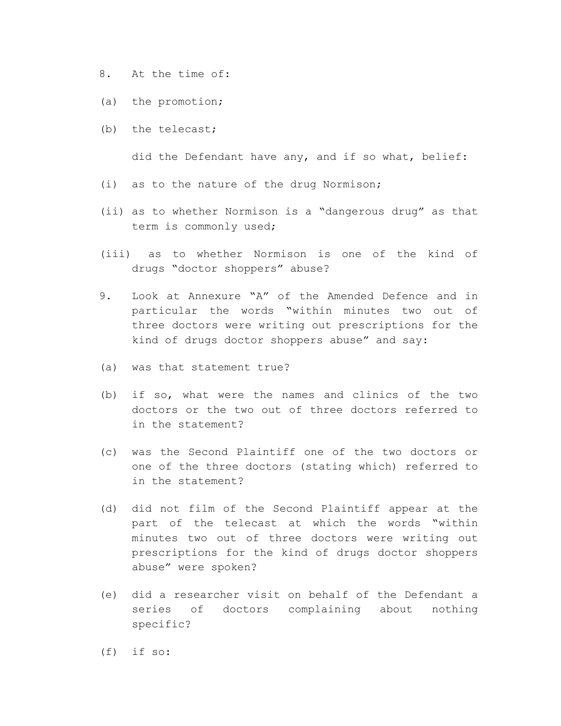8. At the time of:

- (a) the promotion;
- (b) the telecast;

did the Defendant have any, and if so what, belief:

- (i) as to the nature of the drug Normison;
- (ii) as to whether Normison is a "dangerous drug" as that term is commonly used;
- (iii) as to whether Normison is one of the kind of drugs "doctor shoppers" abuse?
- 9. Look at Annexure "A" of the Amended Defence and in particular the words "within minutes two out of three doctors were writing out prescriptions for the kind of drugs doctor shoppers abuse" and say:
- (a) was that statement true?
- (b) if so, what were the names and clinics of the two doctors or the two out of three doctors referred to in the statement?
- (c) was the Second Plaintiff one of the two doctors or one of the three doctors (stating which) referred to in the statement?
- (d) did not film of the Second Plaintiff appear at the part of the telecast at which the words "within minutes two out of three doctors were writing out prescriptions for the kind of drugs doctor shoppers abuse" were spoken?
- (e) did a researcher visit on behalf of the Defendant a series of doctors complaining about nothing specific?
- (f) if so: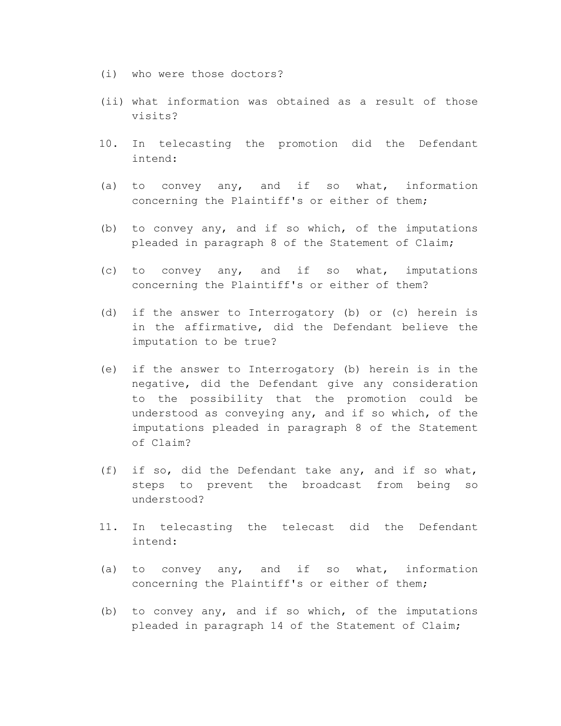- (i) who were those doctors?
- (ii) what information was obtained as a result of those visits?
- 10. In telecasting the promotion did the Defendant intend:
- (a) to convey any, and if so what, information concerning the Plaintiff's or either of them;
- (b) to convey any, and if so which, of the imputations pleaded in paragraph 8 of the Statement of Claim;
- (c) to convey any, and if so what, imputations concerning the Plaintiff's or either of them?
- (d) if the answer to Interrogatory (b) or (c) herein is in the affirmative, did the Defendant believe the imputation to be true?
- (e) if the answer to Interrogatory (b) herein is in the negative, did the Defendant give any consideration to the possibility that the promotion could be understood as conveying any, and if so which, of the imputations pleaded in paragraph 8 of the Statement of Claim?
- (f) if so, did the Defendant take any, and if so what, steps to prevent the broadcast from being so understood?
- 11. In telecasting the telecast did the Defendant intend:
- (a) to convey any, and if so what, information concerning the Plaintiff's or either of them;
- (b) to convey any, and if so which, of the imputations pleaded in paragraph 14 of the Statement of Claim;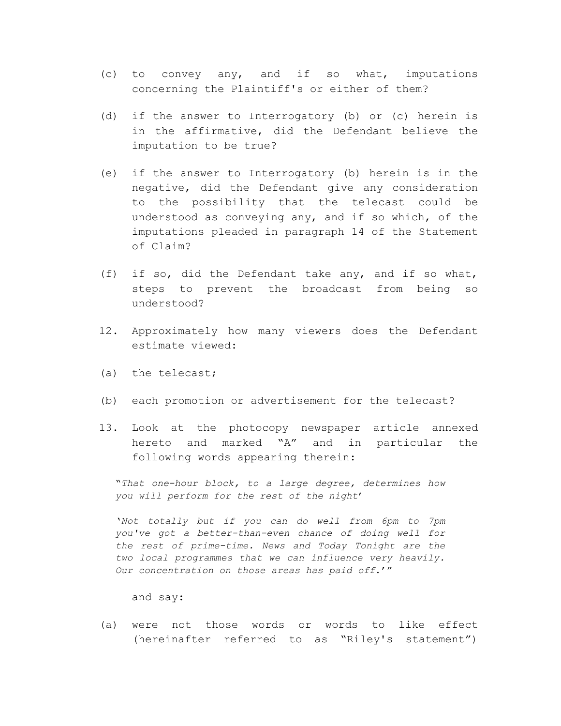- (c) to convey any, and if so what, imputations concerning the Plaintiff's or either of them?
- (d) if the answer to Interrogatory (b) or (c) herein is in the affirmative, did the Defendant believe the imputation to be true?
- (e) if the answer to Interrogatory (b) herein is in the negative, did the Defendant give any consideration to the possibility that the telecast could be understood as conveying any, and if so which, of the imputations pleaded in paragraph 14 of the Statement of Claim?
- (f) if so, did the Defendant take any, and if so what, steps to prevent the broadcast from being so understood?
- 12. Approximately how many viewers does the Defendant estimate viewed:
- (a) the telecast;
- (b) each promotion or advertisement for the telecast?
- 13. Look at the photocopy newspaper article annexed hereto and marked "A" and in particular the following words appearing therein:

"*That one-hour block, to a large degree, determines how you will perform for the rest of the night*'

'*Not totally but if you can do well from 6pm to 7pm you've got a better-than-even chance of doing well for the rest of prime-time. News and Today Tonight are the two local programmes that we can influence very heavily. Our concentration on those areas has paid off*.'"

and say:

(a) were not those words or words to like effect (hereinafter referred to as "Riley's statement")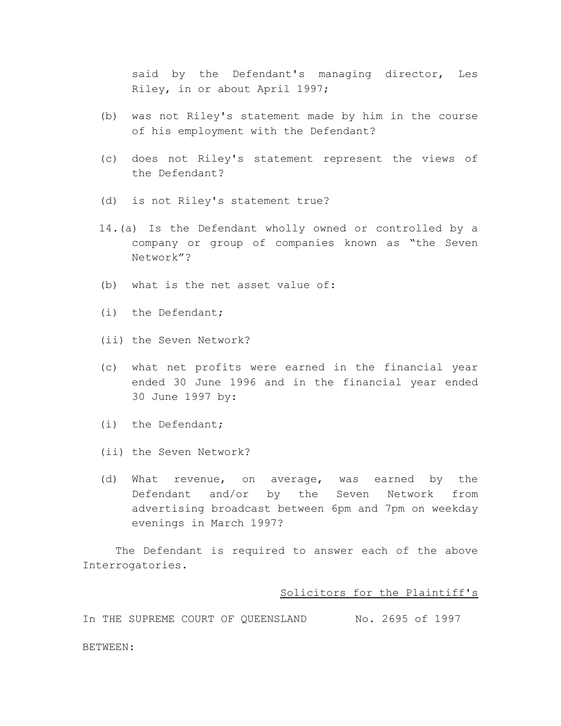said by the Defendant's managing director, Les Riley, in or about April 1997;

- (b) was not Riley's statement made by him in the course of his employment with the Defendant?
- (c) does not Riley's statement represent the views of the Defendant?
- (d) is not Riley's statement true?
- 14.(a) Is the Defendant wholly owned or controlled by a company or group of companies known as "the Seven Network"?
- (b) what is the net asset value of:
- (i) the Defendant;
- (ii) the Seven Network?
- (c) what net profits were earned in the financial year ended 30 June 1996 and in the financial year ended 30 June 1997 by:
- (i) the Defendant;

BETWEEN:

- (ii) the Seven Network?
- (d) What revenue, on average, was earned by the Defendant and/or by the Seven Network from advertising broadcast between 6pm and 7pm on weekday evenings in March 1997?

The Defendant is required to answer each of the above Interrogatories.

#### Solicitors for the Plaintiff's

In THE SUPREME COURT OF QUEENSLAND No. 2695 of 1997